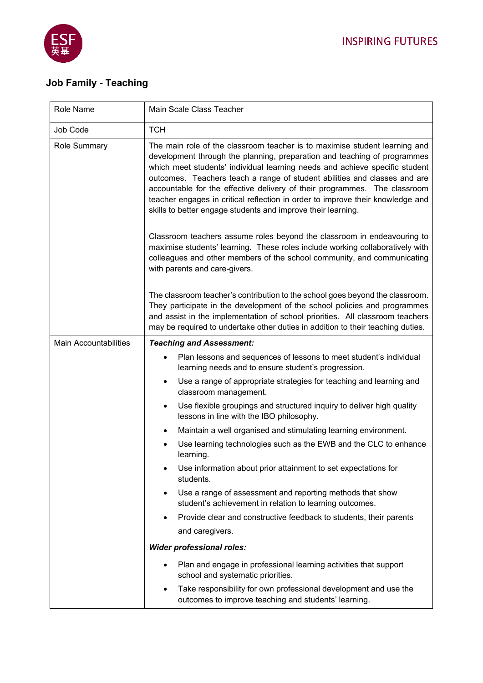

 $\overline{a}$ 

## **Job Family - Teaching**

| Role Name                    | Main Scale Class Teacher                                                                                                                                                                                                                                                                                                                                                                                                                                                                                                                          |
|------------------------------|---------------------------------------------------------------------------------------------------------------------------------------------------------------------------------------------------------------------------------------------------------------------------------------------------------------------------------------------------------------------------------------------------------------------------------------------------------------------------------------------------------------------------------------------------|
| Job Code                     | <b>TCH</b>                                                                                                                                                                                                                                                                                                                                                                                                                                                                                                                                        |
| Role Summary                 | The main role of the classroom teacher is to maximise student learning and<br>development through the planning, preparation and teaching of programmes<br>which meet students' individual learning needs and achieve specific student<br>outcomes. Teachers teach a range of student abilities and classes and are<br>accountable for the effective delivery of their programmes. The classroom<br>teacher engages in critical reflection in order to improve their knowledge and<br>skills to better engage students and improve their learning. |
|                              | Classroom teachers assume roles beyond the classroom in endeavouring to<br>maximise students' learning. These roles include working collaboratively with<br>colleagues and other members of the school community, and communicating<br>with parents and care-givers.                                                                                                                                                                                                                                                                              |
|                              | The classroom teacher's contribution to the school goes beyond the classroom.<br>They participate in the development of the school policies and programmes<br>and assist in the implementation of school priorities. All classroom teachers<br>may be required to undertake other duties in addition to their teaching duties.                                                                                                                                                                                                                    |
| <b>Main Accountabilities</b> | <b>Teaching and Assessment:</b>                                                                                                                                                                                                                                                                                                                                                                                                                                                                                                                   |
|                              | Plan lessons and sequences of lessons to meet student's individual<br>learning needs and to ensure student's progression.                                                                                                                                                                                                                                                                                                                                                                                                                         |
|                              | Use a range of appropriate strategies for teaching and learning and<br>classroom management.                                                                                                                                                                                                                                                                                                                                                                                                                                                      |
|                              | Use flexible groupings and structured inquiry to deliver high quality<br>$\bullet$<br>lessons in line with the IBO philosophy.                                                                                                                                                                                                                                                                                                                                                                                                                    |
|                              | Maintain a well organised and stimulating learning environment.                                                                                                                                                                                                                                                                                                                                                                                                                                                                                   |
|                              | Use learning technologies such as the EWB and the CLC to enhance<br>learning.                                                                                                                                                                                                                                                                                                                                                                                                                                                                     |
|                              | Use information about prior attainment to set expectations for<br>students.                                                                                                                                                                                                                                                                                                                                                                                                                                                                       |
|                              | Use a range of assessment and reporting methods that show<br>$\bullet$<br>student's achievement in relation to learning outcomes.                                                                                                                                                                                                                                                                                                                                                                                                                 |
|                              | Provide clear and constructive feedback to students, their parents                                                                                                                                                                                                                                                                                                                                                                                                                                                                                |
|                              | and caregivers.                                                                                                                                                                                                                                                                                                                                                                                                                                                                                                                                   |
|                              | <b>Wider professional roles:</b>                                                                                                                                                                                                                                                                                                                                                                                                                                                                                                                  |
|                              | Plan and engage in professional learning activities that support<br>school and systematic priorities.                                                                                                                                                                                                                                                                                                                                                                                                                                             |
|                              | Take responsibility for own professional development and use the<br>$\bullet$<br>outcomes to improve teaching and students' learning.                                                                                                                                                                                                                                                                                                                                                                                                             |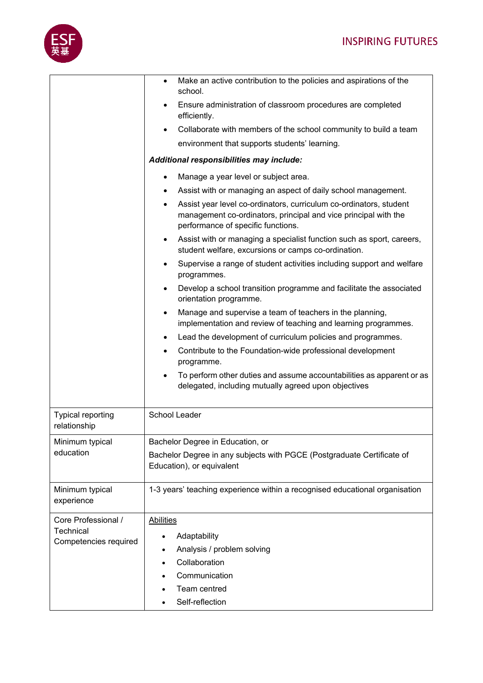

|                                                           | Make an active contribution to the policies and aspirations of the<br>$\bullet$<br>school.                                                                                  |
|-----------------------------------------------------------|-----------------------------------------------------------------------------------------------------------------------------------------------------------------------------|
|                                                           | Ensure administration of classroom procedures are completed<br>$\bullet$<br>efficiently.                                                                                    |
|                                                           | Collaborate with members of the school community to build a team                                                                                                            |
|                                                           | environment that supports students' learning.                                                                                                                               |
|                                                           | Additional responsibilities may include:                                                                                                                                    |
|                                                           | Manage a year level or subject area.<br>$\bullet$                                                                                                                           |
|                                                           | Assist with or managing an aspect of daily school management.                                                                                                               |
|                                                           | Assist year level co-ordinators, curriculum co-ordinators, student<br>management co-ordinators, principal and vice principal with the<br>performance of specific functions. |
|                                                           | Assist with or managing a specialist function such as sport, careers,<br>$\bullet$<br>student welfare, excursions or camps co-ordination.                                   |
|                                                           | Supervise a range of student activities including support and welfare<br>$\bullet$<br>programmes.                                                                           |
|                                                           | Develop a school transition programme and facilitate the associated<br>orientation programme.                                                                               |
|                                                           | Manage and supervise a team of teachers in the planning,<br>$\bullet$<br>implementation and review of teaching and learning programmes.                                     |
|                                                           | Lead the development of curriculum policies and programmes.<br>$\bullet$                                                                                                    |
|                                                           | Contribute to the Foundation-wide professional development<br>$\bullet$<br>programme.                                                                                       |
|                                                           | To perform other duties and assume accountabilities as apparent or as<br>$\bullet$<br>delegated, including mutually agreed upon objectives                                  |
| <b>Typical reporting</b><br>relationship                  | School Leader                                                                                                                                                               |
| Minimum typical<br>education                              | Bachelor Degree in Education, or                                                                                                                                            |
|                                                           | Bachelor Degree in any subjects with PGCE (Postgraduate Certificate of<br>Education), or equivalent                                                                         |
| Minimum typical<br>experience                             | 1-3 years' teaching experience within a recognised educational organisation                                                                                                 |
| Core Professional /<br>Technical<br>Competencies required | <b>Abilities</b>                                                                                                                                                            |
|                                                           | Adaptability<br>$\bullet$                                                                                                                                                   |
|                                                           | Analysis / problem solving<br>$\bullet$                                                                                                                                     |
|                                                           | Collaboration                                                                                                                                                               |
|                                                           | Communication                                                                                                                                                               |
|                                                           | Team centred                                                                                                                                                                |
|                                                           | Self-reflection                                                                                                                                                             |